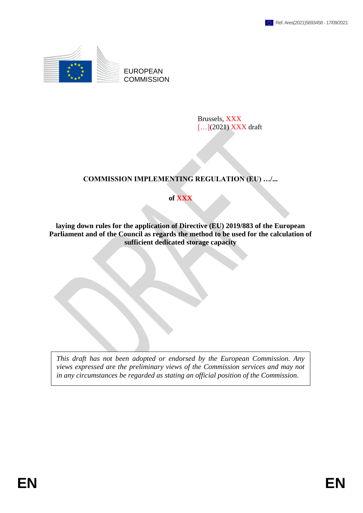

EUROPEAN **COMMISSION** 

> Brussels, XXX [...](2021) XXX draft

# **COMMISSION IMPLEMENTING REGULATION (EU) …/...**

**of XXX**

**laying down rules for the application of Directive (EU) 2019/883 of the European Parliament and of the Council as regards the method to be used for the calculation of sufficient dedicated storage capacity**

*This draft has not been adopted or endorsed by the European Commission. Any views expressed are the preliminary views of the Commission services and may not in any circumstances be regarded as stating an official position of the Commission.*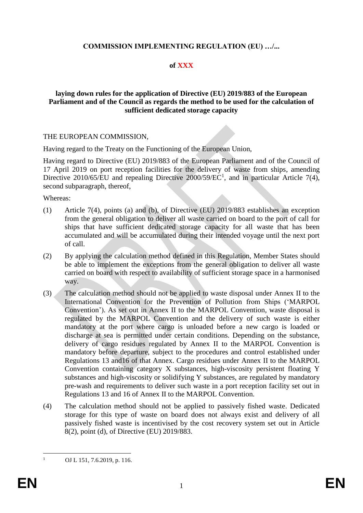## **COMMISSION IMPLEMENTING REGULATION (EU) …/...**

## **of XXX**

### **laying down rules for the application of Directive (EU) 2019/883 of the European Parliament and of the Council as regards the method to be used for the calculation of sufficient dedicated storage capacity**

### THE EUROPEAN COMMISSION,

Having regard to the Treaty on the Functioning of the European Union,

Having regard to Directive (EU) 2019/883 of the European Parliament and of the Council of 17 April 2019 on port reception facilities for the delivery of waste from ships, amending Directive 2010/65/EU and repealing Directive 2000/59/EC<sup>1</sup>, and in particular Article 7(4), second subparagraph, thereof,

Whereas:

- (1) Article 7(4), points (a) and (b), of Directive (EU) 2019/883 establishes an exception from the general obligation to deliver all waste carried on board to the port of call for ships that have sufficient dedicated storage capacity for all waste that has been accumulated and will be accumulated during their intended voyage until the next port of call.
- (2) By applying the calculation method defined in this Regulation, Member States should be able to implement the exceptions from the general obligation to deliver all waste carried on board with respect to availability of sufficient storage space in a harmonised way.
- (3) The calculation method should not be applied to waste disposal under Annex II to the International Convention for the Prevention of Pollution from Ships ('MARPOL Convention'). As set out in Annex II to the MARPOL Convention, waste disposal is regulated by the MARPOL Convention and the delivery of such waste is either mandatory at the port where cargo is unloaded before a new cargo is loaded or discharge at sea is permitted under certain conditions. Depending on the substance, delivery of cargo residues regulated by Annex II to the MARPOL Convention is mandatory before departure, subject to the procedures and control established under Regulations 13 and16 of that Annex. Cargo residues under Annex II to the MARPOL Convention containing category X substances, high-viscosity persistent floating Y substances and high-viscosity or solidifying Y substances, are regulated by mandatory pre-wash and requirements to deliver such waste in a port reception facility set out in Regulations 13 and 16 of Annex II to the MARPOL Convention.
- (4) The calculation method should not be applied to passively fished waste. Dedicated storage for this type of waste on board does not always exist and delivery of all passively fished waste is incentivised by the cost recovery system set out in Article 8(2), point (d), of Directive (EU) 2019/883.

 $\mathbf{1}$ 

OJ L 151, 7.6.2019, p. 116.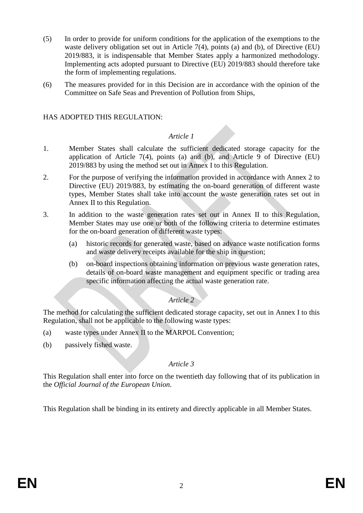- (5) In order to provide for uniform conditions for the application of the exemptions to the waste delivery obligation set out in Article 7(4), points (a) and (b), of Directive (EU) 2019/883, it is indispensable that Member States apply a harmonized methodology. Implementing acts adopted pursuant to Directive (EU) 2019/883 should therefore take the form of implementing regulations.
- (6) The measures provided for in this Decision are in accordance with the opinion of the Committee on Safe Seas and Prevention of Pollution from Ships,

## HAS ADOPTED THIS REGULATION:

### *Article 1*

- 1. Member States shall calculate the sufficient dedicated storage capacity for the application of Article 7(4), points (a) and (b), and Article 9 of Directive  $(EU)$ 2019/883 by using the method set out in Annex I to this Regulation.
- 2. For the purpose of verifying the information provided in accordance with Annex 2 to Directive (EU) 2019/883, by estimating the on-board generation of different waste types, Member States shall take into account the waste generation rates set out in Annex II to this Regulation.
- 3. In addition to the waste generation rates set out in Annex II to this Regulation, Member States may use one or both of the following criteria to determine estimates for the on-board generation of different waste types:
	- (a) historic records for generated waste, based on advance waste notification forms and waste delivery receipts available for the ship in question;
	- (b) on-board inspections obtaining information on previous waste generation rates, details of on-board waste management and equipment specific or trading area specific information affecting the actual waste generation rate.

## *Article 2*

The method for calculating the sufficient dedicated storage capacity, set out in Annex I to this Regulation, shall not be applicable to the following waste types:

- (a) waste types under Annex II to the MARPOL Convention;
- (b) passively fished waste.

### *Article 3*

This Regulation shall enter into force on the twentieth day following that of its publication in the *Official Journal of the European Union*.

This Regulation shall be binding in its entirety and directly applicable in all Member States.